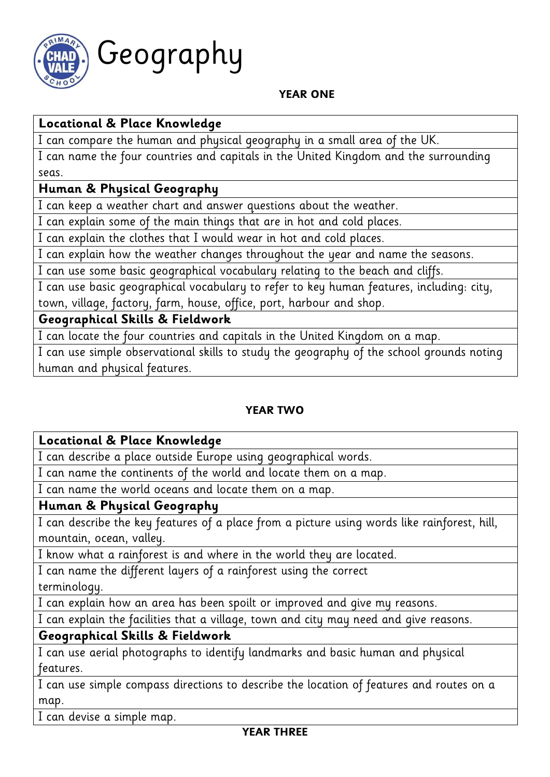

# Geography

#### **YEAR ONE**

# **Locational & Place Knowledge**

I can compare the human and physical geography in a small area of the UK.

I can name the four countries and capitals in the United Kingdom and the surrounding seas.

## **Human & Physical Geography**

I can keep a weather chart and answer questions about the weather.

I can explain some of the main things that are in hot and cold places.

I can explain the clothes that I would wear in hot and cold places.

I can explain how the weather changes throughout the year and name the seasons.

I can use some basic geographical vocabulary relating to the beach and cliffs.

I can use basic geographical vocabulary to refer to key human features, including: city, town, village, factory, farm, house, office, port, harbour and shop.

## **Geographical Skills & Fieldwork**

I can locate the four countries and capitals in the United Kingdom on a map.

I can use simple observational skills to study the geography of the school grounds noting human and physical features.

## **YEAR TWO**

## **Locational & Place Knowledge**

I can describe a place outside Europe using geographical words.

I can name the continents of the world and locate them on a map.

I can name the world oceans and locate them on a map.

## **Human & Physical Geography**

I can describe the key features of a place from a picture using words like rainforest, hill, mountain, ocean, valley.

I know what a rainforest is and where in the world they are located.

I can name the different layers of a rainforest using the correct terminology.

I can explain how an area has been spoilt or improved and give my reasons.

I can explain the facilities that a village, town and city may need and give reasons.

# **Geographical Skills & Fieldwork**

I can use aerial photographs to identify landmarks and basic human and physical features.

I can use simple compass directions to describe the location of features and routes on a map.

I can devise a simple map.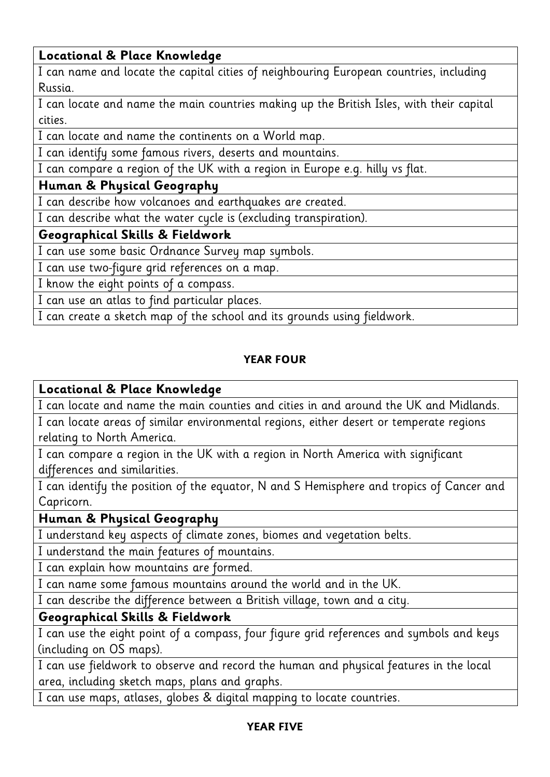## **Locational & Place Knowledge**

I can name and locate the capital cities of neighbouring European countries, including Russia.

I can locate and name the main countries making up the British Isles, with their capital cities.

I can locate and name the continents on a World map.

I can identify some famous rivers, deserts and mountains.

I can compare a region of the UK with a region in Europe e.g. hilly vs flat.

## **Human & Physical Geography**

I can describe how volcanoes and earthquakes are created.

I can describe what the water cycle is (excluding transpiration).

## **Geographical Skills & Fieldwork**

I can use some basic Ordnance Survey map symbols.

I can use two-figure grid references on a map.

I know the eight points of a compass.

I can use an atlas to find particular places.

I can create a sketch map of the school and its grounds using fieldwork.

## **YEAR FOUR**

#### **Locational & Place Knowledge**

I can locate and name the main counties and cities in and around the UK and Midlands.

I can locate areas of similar environmental regions, either desert or temperate regions relating to North America.

I can compare a region in the UK with a region in North America with significant differences and similarities.

I can identify the position of the equator, N and S Hemisphere and tropics of Cancer and Capricorn.

#### **Human & Physical Geography**

I understand key aspects of climate zones, biomes and vegetation belts.

I understand the main features of mountains.

I can explain how mountains are formed.

I can name some famous mountains around the world and in the UK.

I can describe the difference between a British village, town and a city.

## **Geographical Skills & Fieldwork**

I can use the eight point of a compass, four figure grid references and symbols and keys (including on OS maps).

I can use fieldwork to observe and record the human and physical features in the local area, including sketch maps, plans and graphs.

I can use maps, atlases, globes & digital mapping to locate countries.

#### **YEAR FIVE**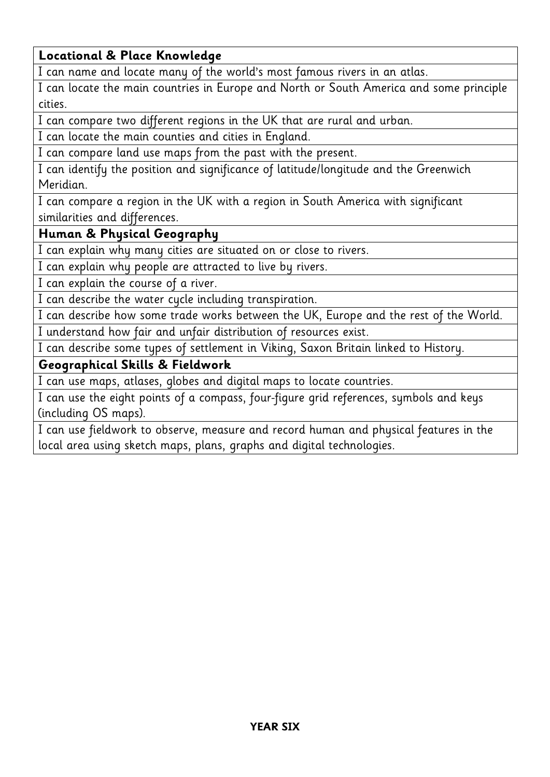## **Locational & Place Knowledge**

I can name and locate many of the world's most famous rivers in an atlas.

I can locate the main countries in Europe and North or South America and some principle cities.

I can compare two different regions in the UK that are rural and urban.

I can locate the main counties and cities in England.

I can compare land use maps from the past with the present.

I can identify the position and significance of latitude/longitude and the Greenwich Meridian.

I can compare a region in the UK with a region in South America with significant similarities and differences.

## **Human & Physical Geography**

I can explain why many cities are situated on or close to rivers.

I can explain why people are attracted to live by rivers.

I can explain the course of a river.

I can describe the water cycle including transpiration.

I can describe how some trade works between the UK, Europe and the rest of the World. I understand how fair and unfair distribution of resources exist.

I can describe some types of settlement in Viking, Saxon Britain linked to History.

## **Geographical Skills & Fieldwork**

I can use maps, atlases, globes and digital maps to locate countries.

I can use the eight points of a compass, four-figure grid references, symbols and keys (including OS maps).

I can use fieldwork to observe, measure and record human and physical features in the local area using sketch maps, plans, graphs and digital technologies.